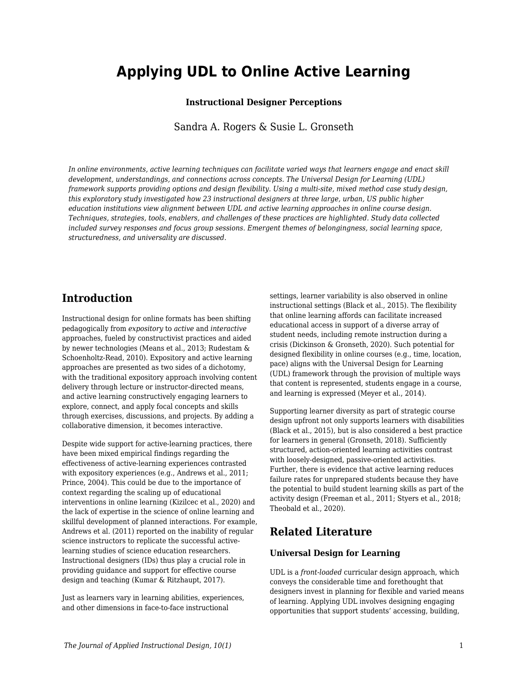# **Applying UDL to Online Active Learning**

### **Instructional Designer Perceptions**

Sandra A. Rogers & Susie L. Gronseth

*In online environments, active learning techniques can facilitate varied ways that learners engage and enact skill development, understandings, and connections across concepts. The Universal Design for Learning (UDL) framework supports providing options and design flexibility. Using a multi-site, mixed method case study design, this exploratory study investigated how 23 instructional designers at three large, urban, US public higher education institutions view alignment between UDL and active learning approaches in online course design. Techniques, strategies, tools, enablers, and challenges of these practices are highlighted. Study data collected included survey responses and focus group sessions. Emergent themes of belongingness, social learning space, structuredness, and universality are discussed.*

## **Introduction**

Instructional design for online formats has been shifting pedagogically from *expository* to *active* and *interactive* approaches, fueled by constructivist practices and aided by newer technologies (Means et al., 2013; Rudestam & Schoenholtz-Read, 2010). Expository and active learning approaches are presented as two sides of a dichotomy, with the traditional expository approach involving content delivery through lecture or instructor-directed means, and active learning constructively engaging learners to explore, connect, and apply focal concepts and skills through exercises, discussions, and projects. By adding a collaborative dimension, it becomes interactive.

Despite wide support for active-learning practices, there have been mixed empirical findings regarding the effectiveness of active-learning experiences contrasted with expository experiences (e.g., Andrews et al., 2011; Prince, 2004). This could be due to the importance of context regarding the scaling up of educational interventions in online learning (Kizilcec et al., 2020) and the lack of expertise in the science of online learning and skillful development of planned interactions. For example, Andrews et al. (2011) reported on the inability of regular science instructors to replicate the successful activelearning studies of science education researchers. Instructional designers (IDs) thus play a crucial role in providing guidance and support for effective course design and teaching (Kumar & Ritzhaupt, 2017).

Just as learners vary in learning abilities, experiences, and other dimensions in face-to-face instructional

settings, learner variability is also observed in online instructional settings (Black et al., 2015). The flexibility that online learning affords can facilitate increased educational access in support of a diverse array of student needs, including remote instruction during a crisis (Dickinson & Gronseth, 2020). Such potential for designed flexibility in online courses (e.g., time, location, pace) aligns with the Universal Design for Learning (UDL) framework through the provision of multiple ways that content is represented, students engage in a course, and learning is expressed (Meyer et al., 2014).

Supporting learner diversity as part of strategic course design upfront not only supports learners with disabilities (Black et al., 2015), but is also considered a best practice for learners in general (Gronseth, 2018). Sufficiently structured, action-oriented learning activities contrast with loosely-designed, passive-oriented activities. Further, there is evidence that active learning reduces failure rates for unprepared students because they have the potential to build student learning skills as part of the activity design (Freeman et al., 2011; Styers et al., 2018; Theobald et al., 2020).

## **Related Literature**

### **Universal Design for Learning**

UDL is a *front-loaded* curricular design approach, which conveys the considerable time and forethought that designers invest in planning for flexible and varied means of learning. Applying UDL involves designing engaging opportunities that support students' accessing, building,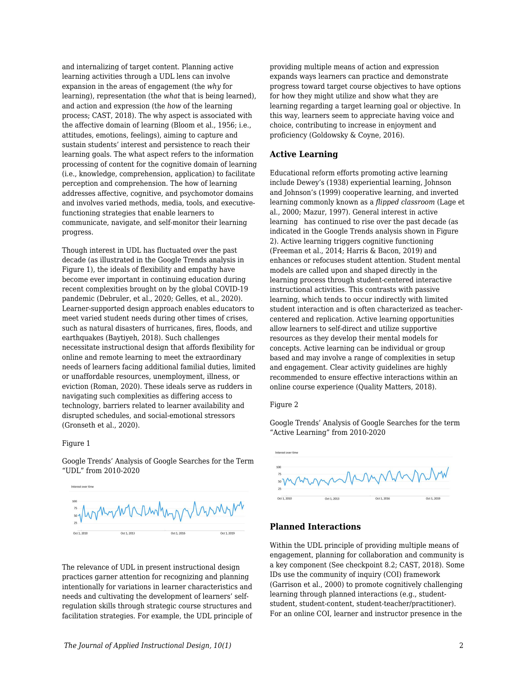and internalizing of target content. Planning active learning activities through a UDL lens can involve expansion in the areas of engagement (the *why* for learning), representation (the *what* that is being learned), and action and expression (the *how* of the learning process; CAST, 2018). The why aspect is associated with the affective domain of learning (Bloom et al., 1956; i.e., attitudes, emotions, feelings), aiming to capture and sustain students' interest and persistence to reach their learning goals. The what aspect refers to the information processing of content for the cognitive domain of learning (i.e., knowledge, comprehension, application) to facilitate perception and comprehension. The how of learning addresses affective, cognitive, and psychomotor domains and involves varied methods, media, tools, and executivefunctioning strategies that enable learners to communicate, navigate, and self-monitor their learning progress.

Though interest in UDL has fluctuated over the past decade (as illustrated in the Google Trends analysis in Figure 1), the ideals of flexibility and empathy have become ever important in continuing education during recent complexities brought on by the global COVID-19 pandemic (Debruler, et al., 2020; Gelles, et al., 2020). Learner-supported design approach enables educators to meet varied student needs during other times of crises, such as natural disasters of hurricanes, fires, floods, and earthquakes (Baytiyeh, 2018). Such challenges necessitate instructional design that affords flexibility for online and remote learning to meet the extraordinary needs of learners facing additional familial duties, limited or unaffordable resources, unemployment, illness, or eviction (Roman, 2020). These ideals serve as rudders in navigating such complexities as differing access to technology, barriers related to learner availability and disrupted schedules, and social-emotional stressors (Gronseth et al., 2020).

#### Figure 1

Google Trends' Analysis of Google Searches for the Term "UDL" from 2010-2020



The relevance of UDL in present instructional design practices garner attention for recognizing and planning intentionally for variations in learner characteristics and needs and cultivating the development of learners' selfregulation skills through strategic course structures and facilitation strategies. For example, the UDL principle of providing multiple means of action and expression expands ways learners can practice and demonstrate progress toward target course objectives to have options for how they might utilize and show what they are learning regarding a target learning goal or objective. In this way, learners seem to appreciate having voice and choice, contributing to increase in enjoyment and proficiency (Goldowsky & Coyne, 2016).

### **Active Learning**

Educational reform efforts promoting active learning include Dewey's (1938) experiential learning, Johnson and Johnson's (1999) cooperative learning, and inverted learning commonly known as a *flipped classroom* (Lage et al., 2000; Mazur, 1997). General interest in active learning has continued to rise over the past decade (as indicated in the Google Trends analysis shown in Figure 2). Active learning triggers cognitive functioning (Freeman et al., 2014; Harris & Bacon, 2019) and enhances or refocuses student attention. Student mental models are called upon and shaped directly in the learning process through student-centered interactive instructional activities. This contrasts with passive learning, which tends to occur indirectly with limited student interaction and is often characterized as teachercentered and replication. Active learning opportunities allow learners to self-direct and utilize supportive resources as they develop their mental models for concepts. Active learning can be individual or group based and may involve a range of complexities in setup and engagement. Clear activity guidelines are highly recommended to ensure effective interactions within an online course experience (Quality Matters, 2018).

#### Figure 2

Google Trends' Analysis of Google Searches for the term "Active Learning" from 2010-2020



### **Planned Interactions**

Within the UDL principle of providing multiple means of engagement, planning for collaboration and community is a key component (See checkpoint 8.2; CAST, 2018). Some IDs use the community of inquiry (COI) framework (Garrison et al., 2000) to promote cognitively challenging learning through planned interactions (e.g., studentstudent, student-content, student-teacher/practitioner). For an online COI, learner and instructor presence in the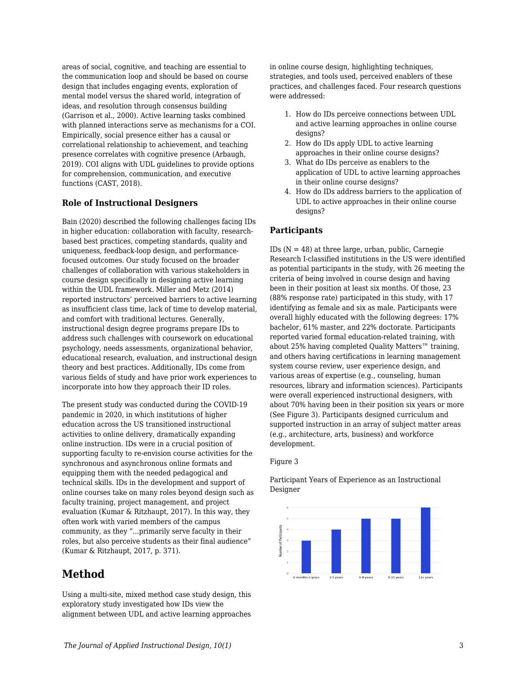areas of social, cognitive, and teaching are essential to the communication loop and should be based on course design that includes engaging events, exploration of mental model versus the shared world, integration of ideas, and resolution through consensus building (Garrison et al., 2000). Active learning tasks combined with planned interactions serve as mechanisms for a COI. Empirically, social presence either has a causal or correlational relationship to achievement, and teaching presence correlates with cognitive presence (Arbaugh, 2019). COI aligns with UDL guidelines to provide options for comprehension, communication, and executive functions (CAST, 2018).

### **Role of Instructional Designers**

Bain (2020) described the following challenges facing IDs in higher education: collaboration with faculty, researchbased best practices, competing standards, quality and uniqueness, feedback-loop design, and performancefocused outcomes. Our study focused on the broader challenges of collaboration with various stakeholders in course design specifically in designing active learning within the UDL framework. Miller and Metz (2014) reported instructors' perceived barriers to active learning as insufficient class time, lack of time to develop material, and comfort with traditional lectures. Generally, instructional design degree programs prepare IDs to address such challenges with coursework on educational psychology, needs assessments, organizational behavior, educational research, evaluation, and instructional design theory and best practices. Additionally, IDs come from various fields of study and have prior work experiences to incorporate into how they approach their ID roles.

The present study was conducted during the COVID-19 pandemic in 2020, in which institutions of higher education across the US transitioned instructional activities to online delivery, dramatically expanding online instruction. IDs were in a crucial position of supporting faculty to re-envision course activities for the synchronous and asynchronous online formats and equipping them with the needed pedagogical and technical skills. IDs in the development and support of online courses take on many roles beyond design such as faculty training, project management, and project evaluation (Kumar & Ritzhaupt, 2017). In this way, they often work with varied members of the campus community, as they "...primarily serve faculty in their roles, but also perceive students as their final audience" (Kumar & Ritzhaupt, 2017, p. 371).

## **Method**

Using a multi-site, mixed method case study design, this exploratory study investigated how IDs view the alignment between UDL and active learning approaches

in online course design, highlighting techniques, strategies, and tools used, perceived enablers of these practices, and challenges faced. Four research questions were addressed:

- 1. How do IDs perceive connections between UDL and active learning approaches in online course designs?
- 2. How do IDs apply UDL to active learning approaches in their online course designs?
- 3. What do IDs perceive as enablers to the application of UDL to active learning approaches in their online course designs?
- 4. How do IDs address barriers to the application of UDL to active approaches in their online course designs?

### **Participants**

IDs  $(N = 48)$  at three large, urban, public, Carnegie Research I-classified institutions in the US were identified as potential participants in the study, with 26 meeting the criteria of being involved in course design and having been in their position at least six months. Of those, 23 (88% response rate) participated in this study, with 17 identifying as female and six as male. Participants were overall highly educated with the following degrees: 17% bachelor, 61% master, and 22% doctorate. Participants reported varied formal education-related training, with about 25% having completed Quality Matters™ training, and others having certifications in learning management system course review, user experience design, and various areas of expertise (e.g., counseling, human resources, library and information sciences). Participants were overall experienced instructional designers, with about 70% having been in their position six years or more (See Figure 3). Participants designed curriculum and supported instruction in an array of subject matter areas (e.g., architecture, arts, business) and workforce development.

#### Figure 3

Participant Years of Experience as an Instructional Designer

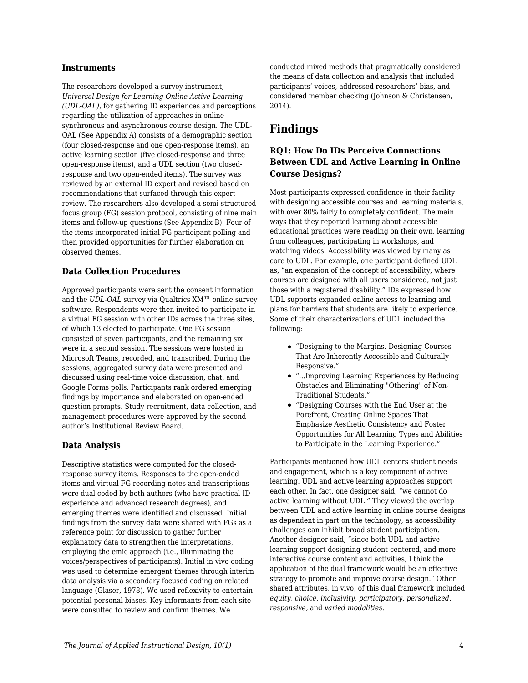### **Instruments**

The researchers developed a survey instrument, *Universal Design for Learning-Online Active Learning (UDL-OAL)*, for gathering ID experiences and perceptions regarding the utilization of approaches in online synchronous and asynchronous course design. The UDL-OAL (See Appendix A) consists of a demographic section (four closed-response and one open-response items), an active learning section (five closed-response and three open-response items), and a UDL section (two closedresponse and two open-ended items). The survey was reviewed by an external ID expert and revised based on recommendations that surfaced through this expert review. The researchers also developed a semi-structured focus group (FG) session protocol, consisting of nine main items and follow-up questions (See Appendix B). Four of the items incorporated initial FG participant polling and then provided opportunities for further elaboration on observed themes.

### **Data Collection Procedures**

Approved participants were sent the consent information and the *UDL-OAL* survey via Qualtrics XM™ online survey software. Respondents were then invited to participate in a virtual FG session with other IDs across the three sites, of which 13 elected to participate. One FG session consisted of seven participants, and the remaining six were in a second session. The sessions were hosted in Microsoft Teams, recorded, and transcribed. During the sessions, aggregated survey data were presented and discussed using real-time voice discussion, chat, and Google Forms polls. Participants rank ordered emerging findings by importance and elaborated on open-ended question prompts. Study recruitment, data collection, and management procedures were approved by the second author's Institutional Review Board.

### **Data Analysis**

Descriptive statistics were computed for the closedresponse survey items. Responses to the open-ended items and virtual FG recording notes and transcriptions were dual coded by both authors (who have practical ID experience and advanced research degrees), and emerging themes were identified and discussed. Initial findings from the survey data were shared with FGs as a reference point for discussion to gather further explanatory data to strengthen the interpretations, employing the emic approach (i.e., illuminating the voices/perspectives of participants). Initial in vivo coding was used to determine emergent themes through interim data analysis via a secondary focused coding on related language (Glaser, 1978). We used reflexivity to entertain potential personal biases. Key informants from each site were consulted to review and confirm themes. We

conducted mixed methods that pragmatically considered the means of data collection and analysis that included participants' voices, addressed researchers' bias, and considered member checking (Johnson & Christensen, 2014).

## **Findings**

### **RQ1: How Do IDs Perceive Connections Between UDL and Active Learning in Online Course Designs?**

Most participants expressed confidence in their facility with designing accessible courses and learning materials, with over 80% fairly to completely confident. The main ways that they reported learning about accessible educational practices were reading on their own, learning from colleagues, participating in workshops, and watching videos. Accessibility was viewed by many as core to UDL. For example, one participant defined UDL as, "an expansion of the concept of accessibility, where courses are designed with all users considered, not just those with a registered disability." IDs expressed how UDL supports expanded online access to learning and plans for barriers that students are likely to experience. Some of their characterizations of UDL included the following:

- "Designing to the Margins. Designing Courses That Are Inherently Accessible and Culturally Responsive."
- "...Improving Learning Experiences by Reducing Obstacles and Eliminating "Othering" of Non-Traditional Students."
- "Designing Courses with the End User at the Forefront, Creating Online Spaces That Emphasize Aesthetic Consistency and Foster Opportunities for All Learning Types and Abilities to Participate in the Learning Experience."

Participants mentioned how UDL centers student needs and engagement, which is a key component of active learning. UDL and active learning approaches support each other. In fact, one designer said, "we cannot do active learning without UDL." They viewed the overlap between UDL and active learning in online course designs as dependent in part on the technology, as accessibility challenges can inhibit broad student participation. Another designer said, "since both UDL and active learning support designing student-centered, and more interactive course content and activities, I think the application of the dual framework would be an effective strategy to promote and improve course design." Other shared attributes, in vivo, of this dual framework included *equity, choice, inclusivity, participatory, personalized*, *responsive,* and *varied modalities*.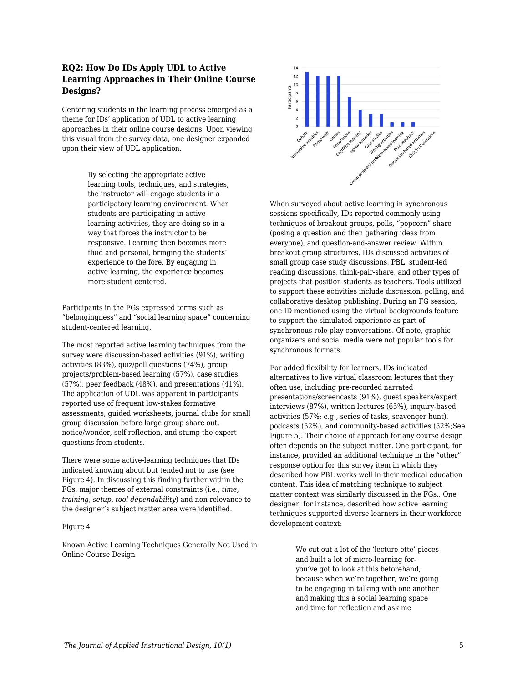### **RQ2: How Do IDs Apply UDL to Active Learning Approaches in Their Online Course Designs?**

Centering students in the learning process emerged as a theme for IDs' application of UDL to active learning approaches in their online course designs. Upon viewing this visual from the survey data, one designer expanded upon their view of UDL application:

> By selecting the appropriate active learning tools, techniques, and strategies, the instructor will engage students in a participatory learning environment. When students are participating in active learning activities, they are doing so in a way that forces the instructor to be responsive. Learning then becomes more fluid and personal, bringing the students' experience to the fore. By engaging in active learning, the experience becomes more student centered.

Participants in the FGs expressed terms such as "belongingness" and "social learning space" concerning student-centered learning.

The most reported active learning techniques from the survey were discussion-based activities (91%), writing activities (83%), quiz/poll questions (74%), group projects/problem-based learning (57%), case studies (57%), peer feedback (48%), and presentations (41%). The application of UDL was apparent in participants' reported use of frequent low-stakes formative assessments, guided worksheets, journal clubs for small group discussion before large group share out, notice/wonder, self-reflection, and stump-the-expert questions from students.

There were some active-learning techniques that IDs indicated knowing about but tended not to use (see Figure 4). In discussing this finding further within the FGs, major themes of external constraints (i.e., *time, training, setup, tool dependability*) and non-relevance to the designer's subject matter area were identified.

#### Figure 4

Known Active Learning Techniques Generally Not Used in Online Course Design



When surveyed about active learning in synchronous sessions specifically, IDs reported commonly using techniques of breakout groups, polls, "popcorn" share (posing a question and then gathering ideas from everyone), and question-and-answer review. Within breakout group structures, IDs discussed activities of small group case study discussions, PBL, student-led reading discussions, think-pair-share, and other types of projects that position students as teachers. Tools utilized to support these activities include discussion, polling, and collaborative desktop publishing. During an FG session, one ID mentioned using the virtual backgrounds feature to support the simulated experience as part of synchronous role play conversations. Of note, graphic organizers and social media were not popular tools for synchronous formats.

For added flexibility for learners, IDs indicated alternatives to live virtual classroom lectures that they often use, including pre-recorded narrated presentations/screencasts (91%), guest speakers/expert interviews (87%), written lectures (65%), inquiry-based activities (57%; e.g., series of tasks, scavenger hunt), podcasts (52%), and community-based activities (52%;See Figure 5). Their choice of approach for any course design often depends on the subject matter. One participant, for instance, provided an additional technique in the "other" response option for this survey item in which they described how PBL works well in their medical education content. This idea of matching technique to subject matter context was similarly discussed in the FGs.. One designer, for instance, described how active learning techniques supported diverse learners in their workforce development context:

> We cut out a lot of the 'lecture-ette' pieces and built a lot of micro-learning foryou've got to look at this beforehand, because when we're together, we're going to be engaging in talking with one another and making this a social learning space and time for reflection and ask me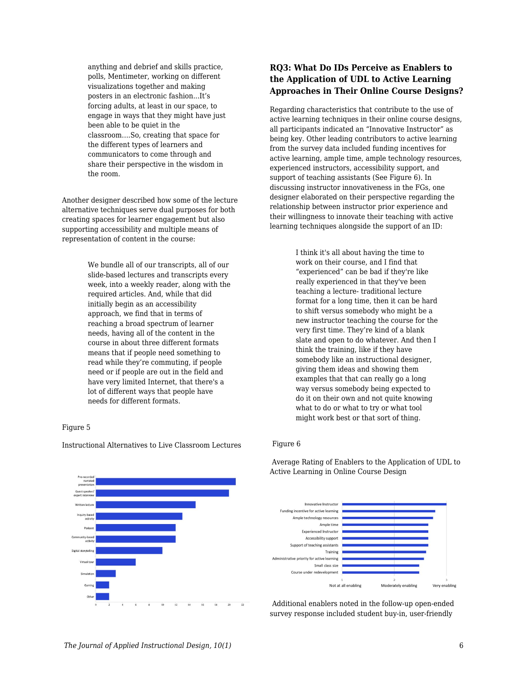anything and debrief and skills practice, polls, Mentimeter, working on different visualizations together and making posters in an electronic fashion...It's forcing adults, at least in our space, to engage in ways that they might have just been able to be quiet in the classroom….So, creating that space for the different types of learners and communicators to come through and share their perspective in the wisdom in the room.

Another designer described how some of the lecture alternative techniques serve dual purposes for both creating spaces for learner engagement but also supporting accessibility and multiple means of representation of content in the course:

> We bundle all of our transcripts, all of our slide-based lectures and transcripts every week, into a weekly reader, along with the required articles. And, while that did initially begin as an accessibility approach, we find that in terms of reaching a broad spectrum of learner needs, having all of the content in the course in about three different formats means that if people need something to read while they're commuting, if people need or if people are out in the field and have very limited Internet, that there's a lot of different ways that people have needs for different formats.

### Figure 5



Instructional Alternatives to Live Classroom Lectures

### **RQ3: What Do IDs Perceive as Enablers to the Application of UDL to Active Learning Approaches in Their Online Course Designs?**

Regarding characteristics that contribute to the use of active learning techniques in their online course designs, all participants indicated an "Innovative Instructor" as being key. Other leading contributors to active learning from the survey data included funding incentives for active learning, ample time, ample technology resources, experienced instructors, accessibility support, and support of teaching assistants (See Figure 6). In discussing instructor innovativeness in the FGs, one designer elaborated on their perspective regarding the relationship between instructor prior experience and their willingness to innovate their teaching with active learning techniques alongside the support of an ID:

> I think it's all about having the time to work on their course, and I find that "experienced" can be bad if they're like really experienced in that they've been teaching a lecture- traditional lecture format for a long time, then it can be hard to shift versus somebody who might be a new instructor teaching the course for the very first time. They're kind of a blank slate and open to do whatever. And then I think the training, like if they have somebody like an instructional designer, giving them ideas and showing them examples that that can really go a long way versus somebody being expected to do it on their own and not quite knowing what to do or what to try or what tool might work best or that sort of thing.

#### Figure 6

 Average Rating of Enablers to the Application of UDL to Active Learning in Online Course Design



Additional enablers noted in the follow-up open-ended survey response included student buy-in, user-friendly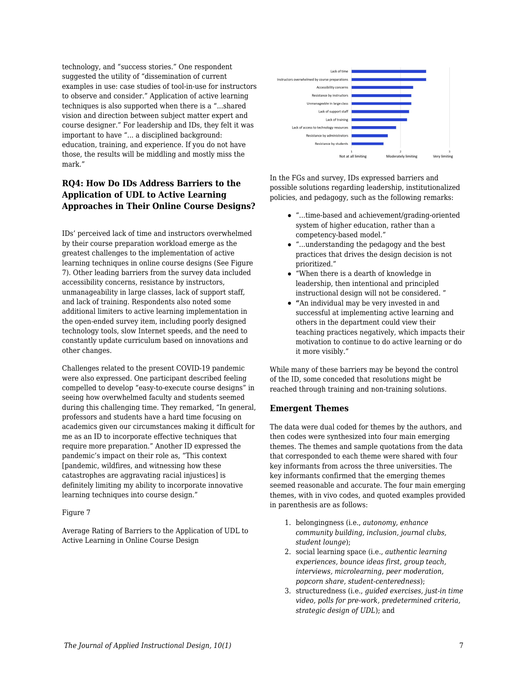technology, and "success stories." One respondent suggested the utility of "dissemination of current examples in use: case studies of tool-in-use for instructors to observe and consider." Application of active learning techniques is also supported when there is a "...shared vision and direction between subject matter expert and course designer." For leadership and IDs, they felt it was important to have "... a disciplined background: education, training, and experience. If you do not have those, the results will be middling and mostly miss the mark."

### **RQ4: How Do IDs Address Barriers to the Application of UDL to Active Learning Approaches in Their Online Course Designs?**

IDs' perceived lack of time and instructors overwhelmed by their course preparation workload emerge as the greatest challenges to the implementation of active learning techniques in online course designs (See Figure 7). Other leading barriers from the survey data included accessibility concerns, resistance by instructors, unmanageability in large classes, lack of support staff, and lack of training. Respondents also noted some additional limiters to active learning implementation in the open-ended survey item, including poorly designed technology tools, slow Internet speeds, and the need to constantly update curriculum based on innovations and other changes.

Challenges related to the present COVID-19 pandemic were also expressed. One participant described feeling compelled to develop "easy-to-execute course designs" in seeing how overwhelmed faculty and students seemed during this challenging time. They remarked, "In general, professors and students have a hard time focusing on academics given our circumstances making it difficult for me as an ID to incorporate effective techniques that require more preparation." Another ID expressed the pandemic's impact on their role as, "This context [pandemic, wildfires, and witnessing how these catastrophes are aggravating racial injustices] is definitely limiting my ability to incorporate innovative learning techniques into course design."

### Figure 7

Average Rating of Barriers to the Application of UDL to Active Learning in Online Course Design



In the FGs and survey, IDs expressed barriers and possible solutions regarding leadership, institutionalized policies, and pedagogy, such as the following remarks:

- "...time-based and achievement/grading-oriented system of higher education, rather than a competency-based model."
- "...understanding the pedagogy and the best practices that drives the design decision is not prioritized."
- "When there is a dearth of knowledge in leadership, then intentional and principled instructional design will not be considered. "
- **"**An individual may be very invested in and successful at implementing active learning and others in the department could view their teaching practices negatively, which impacts their motivation to continue to do active learning or do it more visibly."

While many of these barriers may be beyond the control of the ID, some conceded that resolutions might be reached through training and non-training solutions.

### **Emergent Themes**

The data were dual coded for themes by the authors, and then codes were synthesized into four main emerging themes. The themes and sample quotations from the data that corresponded to each theme were shared with four key informants from across the three universities. The key informants confirmed that the emerging themes seemed reasonable and accurate. The four main emerging themes, with in vivo codes, and quoted examples provided in parenthesis are as follows:

- 1. belongingness (i.e., *autonomy, enhance community building, inclusion, journal clubs, student lounge*);
- 2. social learning space (i.e., *authentic learning experiences, bounce ideas first, group teach, interviews, microlearning, peer moderation, popcorn share, student-centeredness*);
- 3. structuredness (i.e., *guided exercises, just-in time video, polls for pre-work, predetermined criteria, strategic design of UDL*); and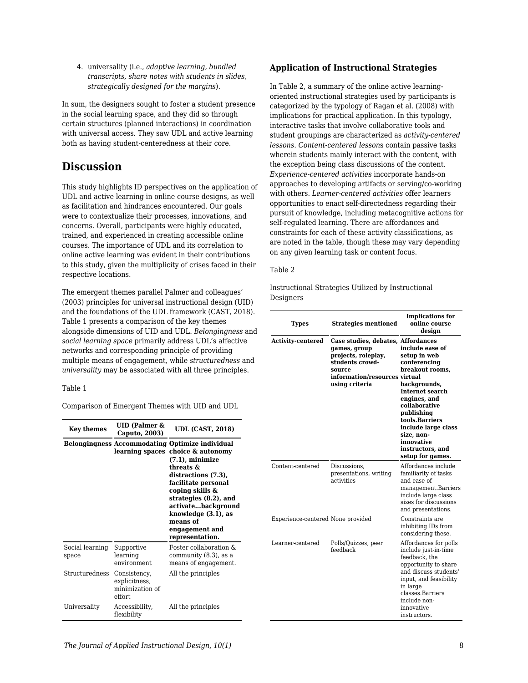4. universality (i.e., *adaptive learning, bundled transcripts, share notes with students in slides, strategically designed for the margins*).

In sum, the designers sought to foster a student presence in the social learning space, and they did so through certain structures (planned interactions) in coordination with universal access. They saw UDL and active learning both as having student-centeredness at their core.

## **Discussion**

This study highlights ID perspectives on the application of UDL and active learning in online course designs, as well as facilitation and hindrances encountered. Our goals were to contextualize their processes, innovations, and concerns. Overall, participants were highly educated, trained, and experienced in creating accessible online courses. The importance of UDL and its correlation to online active learning was evident in their contributions to this study, given the multiplicity of crises faced in their respective locations.

The emergent themes parallel Palmer and colleagues' (2003) principles for universal instructional design (UID) and the foundations of the UDL framework (CAST, 2018). Table 1 presents a comparison of the key themes alongside dimensions of UID and UDL. *Belongingness* and *social learning space* primarily address UDL's affective networks and corresponding principle of providing multiple means of engagement, while *structuredness* and *universality* may be associated with all three principles.

### Table 1

Comparison of Emergent Themes with UID and UDL

| <b>Key themes</b>        | $UID$ (Palmer $\&$<br>Caputo, 2003)                        | <b>UDL (CAST, 2018)</b>                                                                                                                                                                                                                                                                                |  |  |
|--------------------------|------------------------------------------------------------|--------------------------------------------------------------------------------------------------------------------------------------------------------------------------------------------------------------------------------------------------------------------------------------------------------|--|--|
|                          | learning spaces                                            | <b>Belongingness Accommodating Optimize individual</b><br>choice & autonomy<br>$(7.1)$ , minimize<br>threats &<br>distractions (7.3),<br>facilitate personal<br>coping skills &<br>strategies (8.2), and<br>activatebackground<br>knowledge (3.1), as<br>means of<br>engagement and<br>representation. |  |  |
| Social learning<br>space | Supportive<br>learning<br>environment                      | Foster collaboration &<br>community (8.3), as a<br>means of engagement.                                                                                                                                                                                                                                |  |  |
| Structuredness           | Consistency,<br>explicitness,<br>minimization of<br>effort | All the principles                                                                                                                                                                                                                                                                                     |  |  |
| Universality             | Accessibility,<br>flexibility                              | All the principles                                                                                                                                                                                                                                                                                     |  |  |

### **Application of Instructional Strategies**

In Table 2, a summary of the online active learningoriented instructional strategies used by participants is categorized by the typology of Ragan et al. (2008) with implications for practical application. In this typology, interactive tasks that involve collaborative tools and student groupings are characterized as *activity-centered lessons*. *Content-centered lesson*s contain passive tasks wherein students mainly interact with the content, with the exception being class discussions of the content. *Experience-centered activities* incorporate hands-on approaches to developing artifacts or serving/co-working with others. *Learner-centered activities* offer learners opportunities to enact self-directedness regarding their pursuit of knowledge, including metacognitive actions for self-regulated learning. There are affordances and constraints for each of these activity classifications, as are noted in the table, though these may vary depending on any given learning task or content focus.

### Table 2

Instructional Strategies Utilized by Instructional Designers

| <b>Types</b>                      | <b>Strategies mentioned</b>                                                                                                                               | <b>Implications for</b><br>online course<br>desian                                                                                                                                                                                                                       |
|-----------------------------------|-----------------------------------------------------------------------------------------------------------------------------------------------------------|--------------------------------------------------------------------------------------------------------------------------------------------------------------------------------------------------------------------------------------------------------------------------|
| <b>Activity-centered</b>          | Case studies, debates, Affordances<br>games, group<br>projects, roleplay,<br>students crowd-<br>source<br>information/resources virtual<br>using criteria | include ease of<br>setup in web<br>conferencing<br>breakout rooms,<br>backgrounds,<br><b>Internet search</b><br>engines, and<br>collaborative<br>publishing<br>tools.Barriers<br>include large class<br>size, non-<br>innovative<br>instructors, and<br>setup for games. |
| Content-centered                  | Discussions,<br>presentations, writing<br>activities                                                                                                      | Affordances include<br>familiarity of tasks<br>and ease of<br>management.Barriers<br>include large class<br>sizes for discussions<br>and presentations.                                                                                                                  |
| Experience-centered None provided |                                                                                                                                                           | Constraints are<br>inhibiting IDs from<br>considering these.                                                                                                                                                                                                             |
| Learner-centered                  | Polls/Quizzes, peer<br>feedback                                                                                                                           | Affordances for polls<br>include just-in-time<br>feedback, the<br>opportunity to share<br>and discuss students'<br>input, and feasibility<br>in large<br>classes.Barriers<br>include non-<br>innovative<br>instructors.                                                  |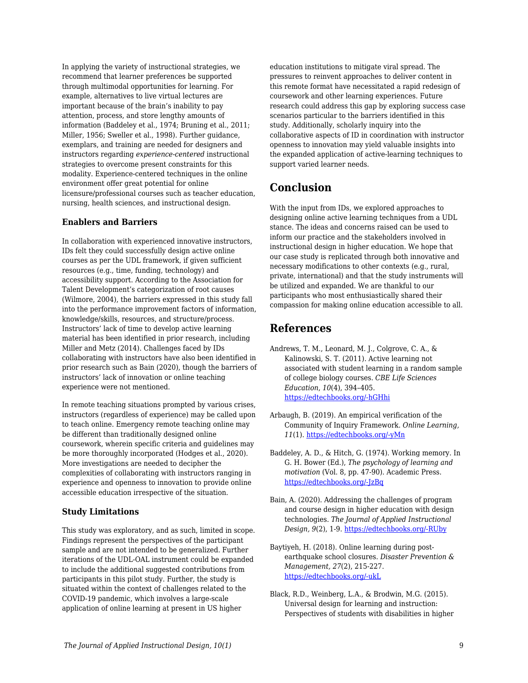In applying the variety of instructional strategies, we recommend that learner preferences be supported through multimodal opportunities for learning. For example, alternatives to live virtual lectures are important because of the brain's inability to pay attention, process, and store lengthy amounts of information (Baddeley et al., 1974; Bruning et al., 2011; Miller, 1956; Sweller et al., 1998). Further guidance, exemplars, and training are needed for designers and instructors regarding *experience-centered* instructional strategies to overcome present constraints for this modality. Experience-centered techniques in the online environment offer great potential for online licensure/professional courses such as teacher education, nursing, health sciences, and instructional design.

### **Enablers and Barriers**

In collaboration with experienced innovative instructors, IDs felt they could successfully design active online courses as per the UDL framework, if given sufficient resources (e.g., time, funding, technology) and accessibility support. According to the Association for Talent Development's categorization of root causes (Wilmore, 2004), the barriers expressed in this study fall into the performance improvement factors of information, knowledge/skills, resources, and structure/process. Instructors' lack of time to develop active learning material has been identified in prior research, including Miller and Metz (2014). Challenges faced by IDs collaborating with instructors have also been identified in prior research such as Bain (2020), though the barriers of instructors' lack of innovation or online teaching experience were not mentioned.

In remote teaching situations prompted by various crises, instructors (regardless of experience) may be called upon to teach online. Emergency remote teaching online may be different than traditionally designed online coursework, wherein specific criteria and guidelines may be more thoroughly incorporated (Hodges et al., 2020). More investigations are needed to decipher the complexities of collaborating with instructors ranging in experience and openness to innovation to provide online accessible education irrespective of the situation.

### **Study Limitations**

This study was exploratory, and as such, limited in scope. Findings represent the perspectives of the participant sample and are not intended to be generalized. Further iterations of the UDL-OAL instrument could be expanded to include the additional suggested contributions from participants in this pilot study. Further, the study is situated within the context of challenges related to the COVID-19 pandemic, which involves a large-scale application of online learning at present in US higher

education institutions to mitigate viral spread. The pressures to reinvent approaches to deliver content in this remote format have necessitated a rapid redesign of coursework and other learning experiences. Future research could address this gap by exploring success case scenarios particular to the barriers identified in this study. Additionally, scholarly inquiry into the collaborative aspects of ID in coordination with instructor openness to innovation may yield valuable insights into the expanded application of active-learning techniques to support varied learner needs.

## **Conclusion**

With the input from IDs, we explored approaches to designing online active learning techniques from a UDL stance. The ideas and concerns raised can be used to inform our practice and the stakeholders involved in instructional design in higher education. We hope that our case study is replicated through both innovative and necessary modifications to other contexts (e.g., rural, private, international) and that the study instruments will be utilized and expanded. We are thankful to our participants who most enthusiastically shared their compassion for making online education accessible to all.

## **References**

- Andrews, T. M., Leonard, M. J., Colgrove, C. A., & Kalinowski, S. T. (2011). Active learning not associated with student learning in a random sample of college biology courses. *CBE Life Sciences Education*, *10*(4), 394–405. [https://edtechbooks.org/-hGHhi](https://doi.org/10.1187/cbe.11-07-0061)
- Arbaugh, B. (2019). An empirical verification of the Community of Inquiry Framework. *Online Learning, 11*(1). [https://edtechbooks.org/-yMn](http://dx.doi.org/10.24059/olj.v11i1.1738)
- Baddeley, A. D., & Hitch, G. (1974). Working memory. In G. H. Bower (Ed.), *The psychology of learning and motivation* (Vol. 8, pp. 47-90). Academic Press. [https://edtechbooks.org/-JzBq](https://doi.org/10.1016/S0079-7421(08)60452-1)
- Bain, A. (2020). Addressing the challenges of program and course design in higher education with design technologies. *The Journal of Applied Instructional Design, 9*(2), 1-9. [https://edtechbooks.org/-RUby](https://edtechbooks.org/jaid_9_2/addressing_the_chall)
- Baytiyeh, H. (2018). Online learning during postearthquake school closures. *Disaster Prevention & Management, 27*(2), 215-227. [https://edtechbooks.org/-ukL](https://doi.org/10.1108/DPM-07-2017-0173)
- Black, R.D., Weinberg, L.A., & Brodwin, M.G. (2015). Universal design for learning and instruction: Perspectives of students with disabilities in higher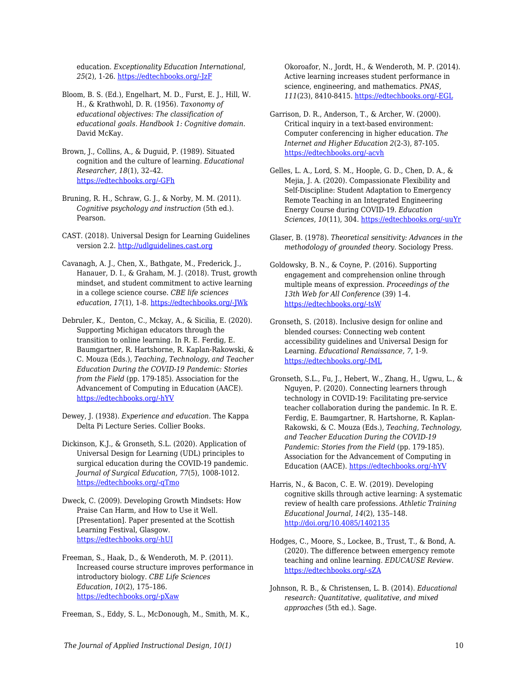education. *Exceptionality Education International, 25*(2), 1-26. [https://edtechbooks.org/-JzF](https://ir.lib.uwo.ca/cgi/viewcontent.cgi?article=1131&context=eei)

- Bloom, B. S. (Ed.), Engelhart, M. D., Furst, E. J., Hill, W. H., & Krathwohl, D. R. (1956). *Taxonomy of educational objectives: The classification of educational goals. Handbook 1: Cognitive domain*. David McKay.
- Brown, J., Collins, A., & Duguid, P. (1989). Situated cognition and the culture of learning. *Educational Researcher, 18*(1), 32–42. [https://edtechbooks.org/-GFh](https://core.ac.uk/download/pdf/4826414.pdf)
- Bruning, R. H., Schraw, G. J., & Norby, M. M. (2011). *Cognitive psychology and instruction* (5th ed.). Pearson.
- CAST. (2018). Universal Design for Learning Guidelines version 2.2. <http://udlguidelines.cast.org>
- Cavanagh, A. J., Chen, X., Bathgate, M., Frederick, J., Hanauer, D. I., & Graham, M. J. (2018). Trust, growth mindset, and student commitment to active learning in a college science course. *CBE life sciences education*, *17*(1), 1-8. [https://edtechbooks.org/-JWk](https://doi.org/10.1187/cbe.17-06-0107)
- Debruler, K., Denton, C., Mckay, A., & Sicilia, E. (2020). Supporting Michigan educators through the transition to online learning. In R. E. Ferdig, E. Baumgartner, R. Hartshorne, R. Kaplan-Rakowski, & C. Mouza (Eds.), *Teaching, Technology, and Teacher Education During the COVID-19 Pandemic: Stories from the Field* (pp. 179-185). Association for the Advancement of Computing in Education (AACE). [https://edtechbooks.org/-hYV](https://www.learntechlib.org/p/216903/)
- Dewey, J. (1938). *Experience and education.* The Kappa Delta Pi Lecture Series. Collier Books.
- Dickinson, K.J., & Gronseth, S.L. (2020). Application of Universal Design for Learning (UDL) principles to surgical education during the COVID-19 pandemic. *Journal of Surgical Education, 77*(5), 1008-1012. [https://edtechbooks.org/-qTmo](https://www.sciencedirect.com/science/article/pii/S1931720420301987)
- Dweck, C. (2009). Developing Growth Mindsets: How Praise Can Harm, and How to Use it Well. [Presentation]. Paper presented at the Scottish Learning Festival, Glasgow. [https://edtechbooks.org/-hUI](http://www.educationscotland.gov.uk/video/c/video_tcm4565678.asp)
- Freeman, S., Haak, D., & Wenderoth, M. P. (2011). Increased course structure improves performance in introductory biology. *CBE Life Sciences Education*, *10*(2), 175–186. [https://edtechbooks.org/-pXaw](https://doi.org/10.1187/cbe.10-08-0105)
- Freeman, S., Eddy, S. L., McDonough, M., Smith, M. K.,

Okoroafor, N., Jordt, H., & Wenderoth, M. P. (2014). Active learning increases student performance in science, engineering, and mathematics. *PNAS, 111*(23), 8410-8415. [https://edtechbooks.org/-EGL](https://doi.org/10.1073/pnas.1319030111)

- Garrison, D. R., Anderson, T., & Archer, W. (2000). Critical inquiry in a text-based environment: Computer conferencing in higher education. *The Internet and Higher Education 2*(2-3), 87-105. [https://edtechbooks.org/-acvh](http://dx.doi.org/10.1016/S1096-7516(00)00016-6)
- Gelles, L. A., Lord, S. M., Hoople, G. D., Chen, D. A., & Mejia, J. A. (2020). Compassionate Flexibility and Self-Discipline: Student Adaptation to Emergency Remote Teaching in an Integrated Engineering Energy Course during COVID-19. *Education Sciences*, *10*(11), 304. [https://edtechbooks.org/-uuYr](https://doi.org/10.3390/educsci10110304)
- Glaser, B. (1978). *Theoretical sensitivity: Advances in the methodology of grounded theory.* Sociology Press.
- Goldowsky, B. N., & Coyne, P. (2016). Supporting engagement and comprehension online through multiple means of expression. *Proceedings of the 13th Web for All Conference* (39) 1-4. [https://edtechbooks.org/-tsW](https://dl.acm.org/doi/10.1145/2899475.2899488)
- Gronseth, S. (2018). Inclusive design for online and blended courses: Connecting web content accessibility guidelines and Universal Design for Learning. *Educational Renaissance, 7*, 1-9. [https://edtechbooks.org/-fML](https://doi.org/10.33499/edren.v7i1.114)
- Gronseth, S.L., Fu, J., Hebert, W., Zhang, H., Ugwu, L., & Nguyen, P. (2020). Connecting learners through technology in COVID-19: Facilitating pre-service teacher collaboration during the pandemic. In R. E. Ferdig, E. Baumgartner, R. Hartshorne, R. Kaplan-Rakowski, & C. Mouza (Eds.), *Teaching, Technology, and Teacher Education During the COVID-19 Pandemic: Stories from the Field* (pp. 179-185). Association for the Advancement of Computing in Education (AACE). [https://edtechbooks.org/-hYV](https://www.learntechlib.org/p/216903/)
- Harris, N., & Bacon, C. E. W. (2019). Developing cognitive skills through active learning: A systematic review of health care professions. *Athletic Training Educational Journal, 14*(2), 135–148. <http://doi.org/10.4085/1402135>
- Hodges, C., Moore, S., Lockee, B., Trust, T., & Bond, A. (2020). The difference between emergency remote teaching and online learning. *EDUCAUSE Review.* [https://edtechbooks.org/-sZA](https://er.educause.edu/articles/2020/3/the-difference-between-emergency-remote-teaching-and-online-learning)
- Johnson, R. B., & Christensen, L. B. (2014). *Educational research: Quantitative, qualitative, and mixed approaches* (5th ed.). Sage.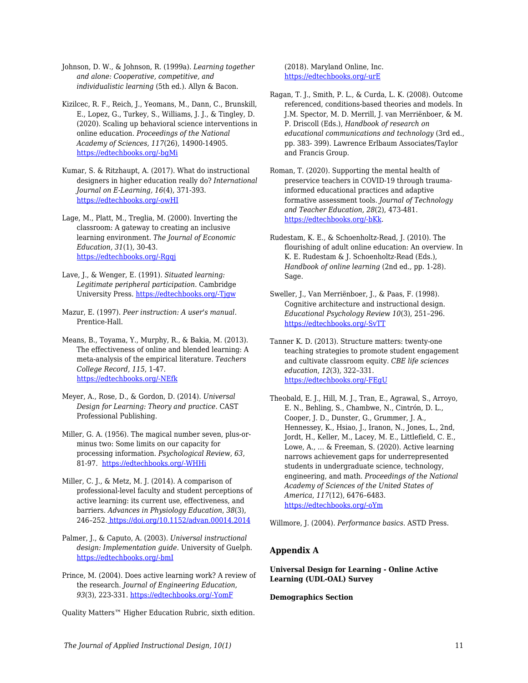Johnson, D. W., & Johnson, R. (1999a). *Learning together and alone: Cooperative, competitive, and individualistic learning* (5th ed.). Allyn & Bacon.

Kizilcec, R. F., Reich, J., Yeomans, M., Dann, C., Brunskill, E., Lopez, G., Turkey, S., Williams, J. J., & Tingley, D. (2020). Scaling up behavioral science interventions in online education. *Proceedings of the National Academy of Sciences, 117*(26), 14900-14905. [https://edtechbooks.org/-bgMi](https://doi.org/10.1073/pnas.1921417117)

Kumar, S. & Ritzhaupt, A. (2017). What do instructional designers in higher education really do? *International Journal on E-Learning, 16*(4), 371-393. [https://edtechbooks.org/-owHI](https://www.learntechlib.org/primary/p/150980/)

Lage, M., Platt, M., Treglia, M. (2000). Inverting the classroom: A gateway to creating an inclusive learning environment. *The Journal of Economic Education, 31*(1)*,* 30-43. [https://edtechbooks.org/-Rgqj](https://doi.org/10.2307/1183338)

Lave, J., & Wenger, E. (1991). *Situated learning: Legitimate peripheral participation*. Cambridge University Press. [https://edtechbooks.org/-Tjgw](https://doi.org/10.1017/cbo9780511815355)

Mazur, E. (1997). *Peer instruction: A user's manual*. Prentice-Hall.

Means, B., Toyama, Y., Murphy, R., & Bakia, M. (2013). The effectiveness of online and blended learning: A meta-analysis of the empirical literature. *Teachers College Record, 115*, 1-47. [https://edtechbooks.org/-NEfk](https://archive.sri.com/sites/default/files/publications/effectiveness_of_online_and_blended_learning.pdf)

Meyer, A., Rose, D., & Gordon, D. (2014). *Universal Design for Learning: Theory and practice.* CAST Professional Publishing.

Miller, G. A. (1956). The magical number seven, plus-orminus two: Some limits on our capacity for processing information. *Psychological Review*, *63*, 81-97. [https://edtechbooks.org/-WHHi](https://psycnet.apa.org/doi/10.1037/h0043158)

Miller, C. J., & Metz, M. J. (2014). A comparison of professional-level faculty and student perceptions of active learning: its current use, effectiveness, and barriers. *Advances in Physiology Education*, *38*(3), 246–252[. https://doi.org/10.1152/advan.00014.2014](https://doi.org/10.1152/advan.00014.2014)

Palmer, J., & Caputo, A. (2003). *Universal instructional design: Implementation guide.* University of Guelph. [https://edtechbooks.org/-bmI](https://cer.jhu.edu/files/uid-implementation-guide-v6.pdf)

Prince, M. (2004). Does active learning work? A review of the research. *Journal of Engineering Education, 93*(3), 223-331. [https://edtechbooks.org/-YomF](https://www.engr.ncsu.edu/wp-content/uploads/drive/1smSpn4AiHSh8z7a0MHDBwhb_JhcoLQmI/2004-Prince_AL.pdf)

Quality Matters™ Higher Education Rubric, sixth edition.

(2018). Maryland Online, Inc. [https://edtechbooks.org/-urE](https://www.qualitymatters.org/sites/default/files/PDFs/StandardsfromtheQMHigherEducationRubric.pdf)

Ragan, T. J., Smith, P. L., & Curda, L. K. (2008). Outcome referenced, conditions-based theories and models. In J.M. Spector, M. D. Merrill, J. van Merriënboer, & M. P. Driscoll (Eds.), *Handbook of research on educational communications and technology* (3rd ed., pp. 383- 399). Lawrence Erlbaum Associates/Taylor and Francis Group.

Roman, T. (2020). Supporting the mental health of preservice teachers in COVID-19 through traumainformed educational practices and adaptive formative assessment tools. *Journal of Technology and Teacher Education, 28*(2), 473-481. [https://edtechbooks.org/-bKk.](https://www.learntechlib.org/primary/p/216363/)

Rudestam, K. E., & Schoenholtz-Read, J. (2010). The flourishing of adult online education: An overview. In K. E. Rudestam & J. Schoenholtz-Read (Eds.), *Handbook of online learning* (2nd ed.*,* pp. 1-28). Sage.

Sweller, J., Van Merriënboer, J., & Paas, F. (1998). Cognitive architecture and instructional design. *Educational Psychology Review 10*(3), 251–296. [https://edtechbooks.org/-SvTT](https://doi.org/10.1023/A:1022193728205)

Tanner K. D. (2013). Structure matters: twenty-one teaching strategies to promote student engagement and cultivate classroom equity. *CBE life sciences education*, *12*(3), 322–331. [https://edtechbooks.org/-FEgU](https://doi.org/10.1187/cbe.13-06-0115)

Theobald, E. J., Hill, M. J., Tran, E., Agrawal, S., Arroyo, E. N., Behling, S., Chambwe, N., Cintrón, D. L., Cooper, J. D., Dunster, G., Grummer, J. A., Hennessey, K., Hsiao, J., Iranon, N., Jones, L., 2nd, Jordt, H., Keller, M., Lacey, M. E., Littlefield, C. E., Lowe, A., … & Freeman, S. (2020). Active learning narrows achievement gaps for underrepresented students in undergraduate science, technology, engineering, and math. *Proceedings of the National Academy of Sciences of the United States of America*, *117*(12), 6476–6483. [https://edtechbooks.org/-oYm](https://doi.org/10.1073/pnas.1916903117)

Willmore, J. (2004). *Performance basics*. ASTD Press.

### **Appendix A**

**Universal Design for Learning - Online Active Learning (UDL-OAL) Survey**

#### **Demographics Section**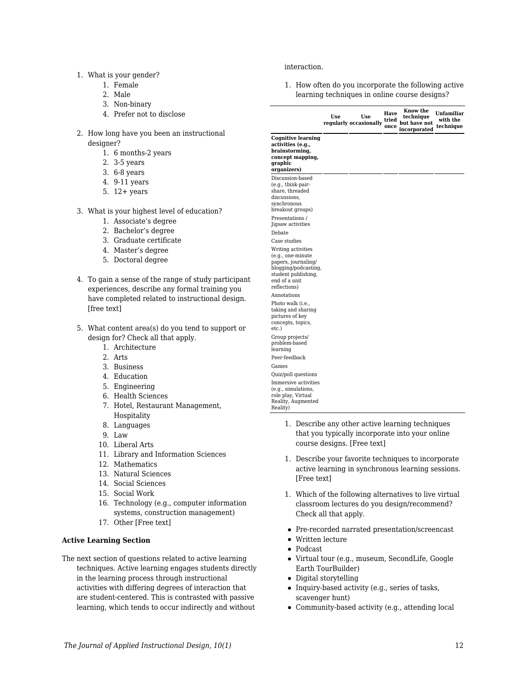#### 1. What is your gender?

- 1. Female
- 2. Male
- 3. Non-binary
- 4. Prefer not to disclose
- 2. How long have you been an instructional designer?
	- 1. 6 months-2 years
	- 2. 3-5 years
	- 3. 6-8 years
	- 4. 9-11 years
	- 5. 12+ years
- 3. What is your highest level of education?
	- 1. Associate's degree
	- 2. Bachelor's degree
	- 3. Graduate certificate
	- 4. Master's degree
	- 5. Doctoral degree
- 4. To gain a sense of the range of study participant experiences, describe any formal training you have completed related to instructional design. [free text]
- 5. What content area(s) do you tend to support or design for? Check all that apply.
	- 1. Architecture
	- 2. Arts
	- 3. Business
	- 4. Education
	- 5. Engineering
	- 6. Health Sciences
	- 7. Hotel, Restaurant Management, Hospitality
	- 8. Languages
	- 9. Law
	- 10. Liberal Arts
	- 11. Library and Information Sciences
	- 12. Mathematics
	- 13. Natural Sciences
	- 14. Social Sciences
	- 15. Social Work
	- 16. Technology (e.g., computer information systems, construction management)
	- 17. Other [Free text]

### **Active Learning Section**

The next section of questions related to active learning techniques. Active learning engages students directly in the learning process through instructional activities with differing degrees of interaction that are student-centered. This is contrasted with passive learning, which tends to occur indirectly and without

### interaction.

1. How often do you incorporate the following active learning techniques in online course designs?

|                                                                                                                                                | Use | Use<br>regularly occasionally | Have<br>tried<br>once | Know the<br>technique<br>but have not<br>incorporated | Unfamiliar<br>with the<br>technique |
|------------------------------------------------------------------------------------------------------------------------------------------------|-----|-------------------------------|-----------------------|-------------------------------------------------------|-------------------------------------|
| <b>Cognitive learning</b><br>activities (e.q.,<br>brainstorming,<br>concept mapping,<br>graphic<br>organizers)                                 |     |                               |                       |                                                       |                                     |
| Discussion-based<br>(e.g., think-pair-<br>share, threaded<br>discussions.<br>synchronous<br>breakout groups)                                   |     |                               |                       |                                                       |                                     |
| Presentations /<br>Jigsaw activities                                                                                                           |     |                               |                       |                                                       |                                     |
| Debate<br>Case studies                                                                                                                         |     |                               |                       |                                                       |                                     |
| Writing activities<br>(e.g., one-minute<br>papers, journaling/<br>blogging/podcasting,<br>student publishing,<br>end of a unit<br>reflections) |     |                               |                       |                                                       |                                     |
| Annotations<br>Photo walk (i.e.,<br>taking and sharing<br>pictures of key<br>concepts, topics,<br>etc.)                                        |     |                               |                       |                                                       |                                     |
| Group projects/<br>problem-based<br>learning<br>Peer-feedback                                                                                  |     |                               |                       |                                                       |                                     |
| Games                                                                                                                                          |     |                               |                       |                                                       |                                     |
| Quiz/poll questions                                                                                                                            |     |                               |                       |                                                       |                                     |
| Immersive activities<br>(e.g., simulations,<br>role play, Virtual<br>Reality, Augmented<br>Reality)                                            |     |                               |                       |                                                       |                                     |

- 1. Describe any other active learning techniques that you typically incorporate into your online course designs. [Free text]
- 1. Describe your favorite techniques to incorporate active learning in synchronous learning sessions. [Free text]
- 1. Which of the following alternatives to live virtual classroom lectures do you design/recommend? Check all that apply.
- Pre-recorded narrated presentation/screencast
- Written lecture
- Podcast
- Virtual tour (e.g., museum, SecondLife, Google Earth TourBuilder)
- Digital storytelling
- Inquiry-based activity (e.g., series of tasks, scavenger hunt)
- Community-based activity (e.g., attending local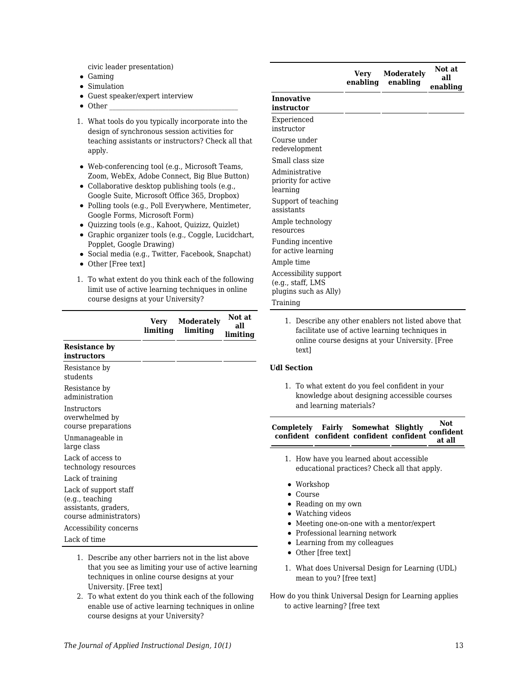civic leader presentation)

- Gaming
- Simulation
- Guest speaker/expert interview
- $\bullet$  Other
- 1. What tools do you typically incorporate into the design of synchronous session activities for teaching assistants or instructors? Check all that apply.
- Web-conferencing tool (e.g., Microsoft Teams, Zoom, WebEx, Adobe Connect, Big Blue Button)
- Collaborative desktop publishing tools (e.g., Google Suite, Microsoft Office 365, Dropbox)
- Polling tools (e.g., Poll Everywhere, Mentimeter, Google Forms, Microsoft Form)
- Quizzing tools (e.g., Kahoot, Quizizz, Quizlet)
- Graphic organizer tools (e.g., Coggle, Lucidchart, Popplet, Google Drawing)
- Social media (e.g., Twitter, Facebook, Snapchat)
- Other [Free text]
- 1. To what extent do you think each of the following limit use of active learning techniques in online course designs at your University?

|                                                                                                                                                                                                                                | limiting | Very Moderately<br>limiting | Not at<br>all<br>limiting |
|--------------------------------------------------------------------------------------------------------------------------------------------------------------------------------------------------------------------------------|----------|-----------------------------|---------------------------|
| <b>Resistance by</b><br>instructors                                                                                                                                                                                            |          |                             |                           |
| Resistance by<br>students                                                                                                                                                                                                      |          |                             |                           |
| Resistance by<br>administration                                                                                                                                                                                                |          |                             |                           |
| Instructors<br>overwhelmed by<br>course preparations                                                                                                                                                                           |          |                             |                           |
| Unmanageable in<br>large class                                                                                                                                                                                                 |          |                             |                           |
| Lack of access to<br>technology resources                                                                                                                                                                                      |          |                             |                           |
| Lack of training                                                                                                                                                                                                               |          |                             |                           |
| Lack of support staff<br>(e.g., teaching<br>assistants, graders,<br>course administrators)                                                                                                                                     |          |                             |                           |
| Accessibility concerns                                                                                                                                                                                                         |          |                             |                           |
| Lack of time                                                                                                                                                                                                                   |          |                             |                           |
| 4. . The could concert calculation to the control of the Hotel characters of the first control of the first control of the first control of the control of the control of the control of the control of the control of the con |          |                             |                           |

- 1. Describe any other barriers not in the list above that you see as limiting your use of active learning techniques in online course designs at your University. [Free text]
- 2. To what extent do you think each of the following enable use of active learning techniques in online course designs at your University?

|                                                                     | Very<br>enabling | <b>Moderately</b><br>enabling | all<br>enabling |
|---------------------------------------------------------------------|------------------|-------------------------------|-----------------|
| <b>Innovative</b><br>instructor                                     |                  |                               |                 |
| Experienced<br>instructor                                           |                  |                               |                 |
| Course under<br>redevelopment                                       |                  |                               |                 |
| Small class size                                                    |                  |                               |                 |
| Administrative<br>priority for active<br>learning                   |                  |                               |                 |
| Support of teaching<br>assistants                                   |                  |                               |                 |
| Ample technology<br>resources                                       |                  |                               |                 |
| Funding incentive<br>for active learning                            |                  |                               |                 |
| Ample time                                                          |                  |                               |                 |
| Accessibility support<br>(e.g., staff, LMS<br>plugins such as Ally) |                  |                               |                 |
| Training                                                            |                  |                               |                 |

**Not at**

1. Describe any other enablers not listed above that facilitate use of active learning techniques in online course designs at your University. [Free text]

### **Udl Section**

1. To what extent do you feel confident in your knowledge about designing accessible courses and learning materials?

| Completely Fairly Somewhat Slightly Confident confident confident confident confident |  | Not.   |
|---------------------------------------------------------------------------------------|--|--------|
|                                                                                       |  | at all |

- 1. How have you learned about accessible educational practices? Check all that apply.
- Workshop
- Course
- Reading on my own
- Watching videos
- Meeting one-on-one with a mentor/expert
- Professional learning network
- Learning from my colleagues
- Other [free text]
- 1. What does Universal Design for Learning (UDL) mean to you? [free text]
- How do you think Universal Design for Learning applies to active learning? [free text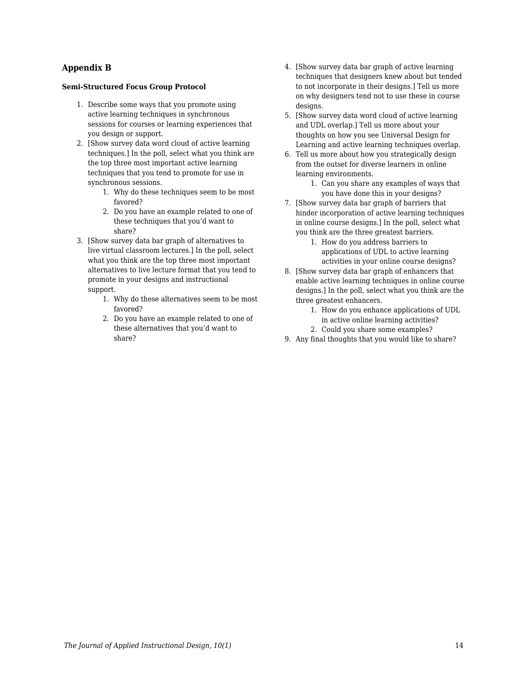### **Appendix B**

### **Semi-Structured Focus Group Protocol**

- 1. Describe some ways that you promote using active learning techniques in synchronous sessions for courses or learning experiences that you design or support.
- 2. [Show survey data word cloud of active learning techniques.] In the poll, select what you think are the top three most important active learning techniques that you tend to promote for use in synchronous sessions.
	- 1. Why do these techniques seem to be most favored?
	- 2. Do you have an example related to one of these techniques that you'd want to share?
- 3. [Show survey data bar graph of alternatives to live virtual classroom lectures.] In the poll, select what you think are the top three most important alternatives to live lecture format that you tend to promote in your designs and instructional support.
	- 1. Why do these alternatives seem to be most favored?
	- 2. Do you have an example related to one of these alternatives that you'd want to share?
- 4. [Show survey data bar graph of active learning techniques that designers knew about but tended to not incorporate in their designs.] Tell us more on why designers tend not to use these in course designs.
- 5. [Show survey data word cloud of active learning and UDL overlap.] Tell us more about your thoughts on how you see Universal Design for Learning and active learning techniques overlap.
- 6. Tell us more about how you strategically design from the outset for diverse learners in online learning environments.
	- 1. Can you share any examples of ways that you have done this in your designs?
- 7. [Show survey data bar graph of barriers that hinder incorporation of active learning techniques in online course designs.] In the poll, select what you think are the three greatest barriers.
	- 1. How do you address barriers to applications of UDL to active learning activities in your online course designs?
- 8. [Show survey data bar graph of enhancers that enable active learning techniques in online course designs.] In the poll, select what you think are the three greatest enhancers.
	- 1. How do you enhance applications of UDL in active online learning activities?
	- 2. Could you share some examples?
- 9. Any final thoughts that you would like to share?